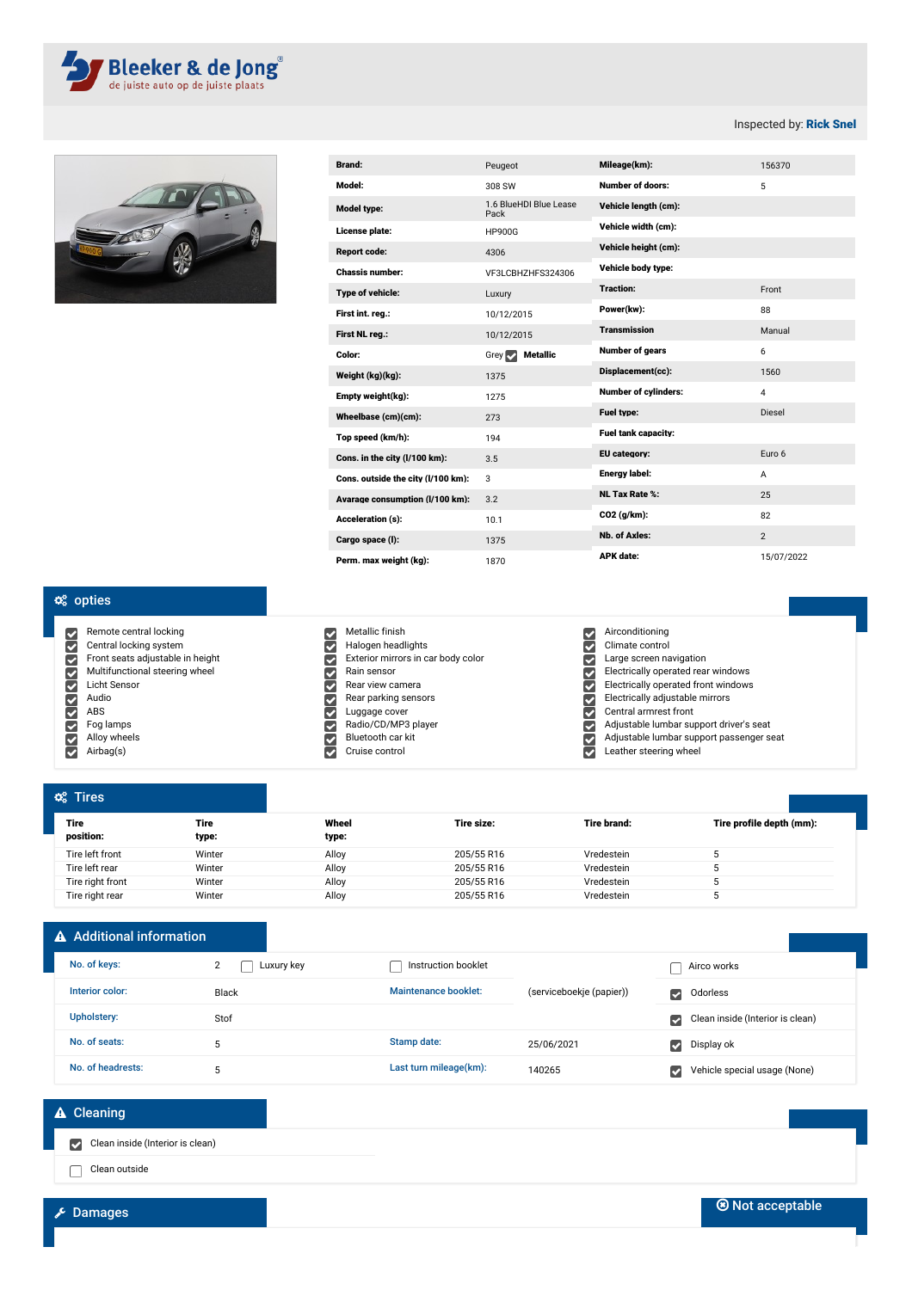



| <b>Brand:</b>                      | Peugeot                            | Mileage(km):                | 156370         |
|------------------------------------|------------------------------------|-----------------------------|----------------|
| Model:                             | 308 SW                             | <b>Number of doors:</b>     | 5              |
| <b>Model type:</b>                 | 1.6 BlueHDI Blue Lease<br>Pack     | Vehicle length (cm):        |                |
| License plate:                     | <b>HP900G</b>                      | Vehicle width (cm):         |                |
| <b>Report code:</b>                | 4306                               | Vehicle height (cm):        |                |
| <b>Chassis number:</b>             | VF3LCBHZHFS324306                  | Vehicle body type:          |                |
| Type of vehicle:                   | Luxury                             | <b>Traction:</b>            | Front          |
| First int. reg.:                   | 10/12/2015                         | Power(kw):                  | 88             |
| First NL rea.:                     | 10/12/2015                         | <b>Transmission</b>         | Manual         |
| Color:                             | <b>Metallic</b><br>Grey $\sqrt{ }$ | <b>Number of gears</b>      | 6              |
| Weight (kg)(kg):                   | 1375                               | Displacement(cc):           | 1560           |
| Empty weight(kg):                  | 1275                               | <b>Number of cvlinders:</b> | 4              |
| Wheelbase (cm)(cm):                | 273                                | <b>Fuel type:</b>           | <b>Diesel</b>  |
| Top speed (km/h):                  | 194                                | Fuel tank capacity:         |                |
| Cons. in the city (I/100 km):      | 3.5                                | EU category:                | Euro 6         |
| Cons. outside the city (I/100 km): | 3                                  | Energy label:               | A              |
| Avarage consumption (I/100 km):    | 3.2                                | <b>NL Tax Rate %:</b>       | 25             |
| <b>Acceleration (s):</b>           | 10.1                               | CO2 (a/km):                 | 82             |
| Cargo space (I):                   | 1375                               | Nb. of Axles:               | $\overline{2}$ |
| Perm. max weight (kg):             | 1870                               | <b>APK</b> date:            | 15/07/2022     |

### $\alpha_{s}^{s}$  opties

<u>राससमाराधरार</u> Remote central locking Central locking system Front seats adjustable in height Multifunctional steering wheel Licht Sensor Audio ABS Fog lamps Alloy wheels Airbag(s)

|           | Metallic finish                    |
|-----------|------------------------------------|
|           | Halogen headlights                 |
| e,        | Exterior mirrors in car body color |
| v         | Rain sensor                        |
|           | Rear view camera                   |
| $\bullet$ | Rear parking sensors               |
| S)        | Luggage cover                      |
|           | Radio/CD/MP3 player                |
| v         | Bluetooth car kit                  |
|           | Cruise control                     |
|           |                                    |

#### Airconditioning Climate control Large screen navigation Electrically operated rear windows Electrically operated front windows Electrically adjustable mirrors Central armrest front Adjustable lumbar support driver's seat Adjustable lumbar support passenger seat Leather steering wheel

| $\alpha$ <sup>2</sup> Tires |               |                |            |             |                          |
|-----------------------------|---------------|----------------|------------|-------------|--------------------------|
| <b>Tire</b><br>position:    | Tire<br>type: | Wheel<br>type: | Tire size: | Tire brand: | Tire profile depth (mm): |
| Tire left front             | Winter        | Alloy          | 205/55 R16 | Vredestein  | $\mathbf{5}$             |
| Tire left rear              | Winter        | Alloy          | 205/55 R16 | Vredestein  | 5                        |
| Tire right front            | Winter        | Alloy          | 205/55 R16 | Vredestein  | 5                        |
| Tire right rear             | Winter        | Alloy          | 205/55 R16 | Vredestein  |                          |

### A Additional information

| No. of keys:       | Luxury key   | Instruction booklet    |                          | Airco works                                 |
|--------------------|--------------|------------------------|--------------------------|---------------------------------------------|
| Interior color:    | <b>Black</b> | Maintenance booklet:   | (serviceboekje (papier)) | Odorless<br>M                               |
| <b>Upholstery:</b> | Stof         |                        |                          | Clean inside (Interior is clean)<br>$\cdot$ |
| No. of seats:      |              | Stamp date:            | 25/06/2021               | Display ok<br>$\blacktriangledown$          |
| No. of headrests:  |              | Last turn mileage(km): | 140265                   | Vehicle special usage (None)                |

## A Cleaning Clean inside (Interior is clean) Clean outside

Not acceptable

Inspected by: Rick Snel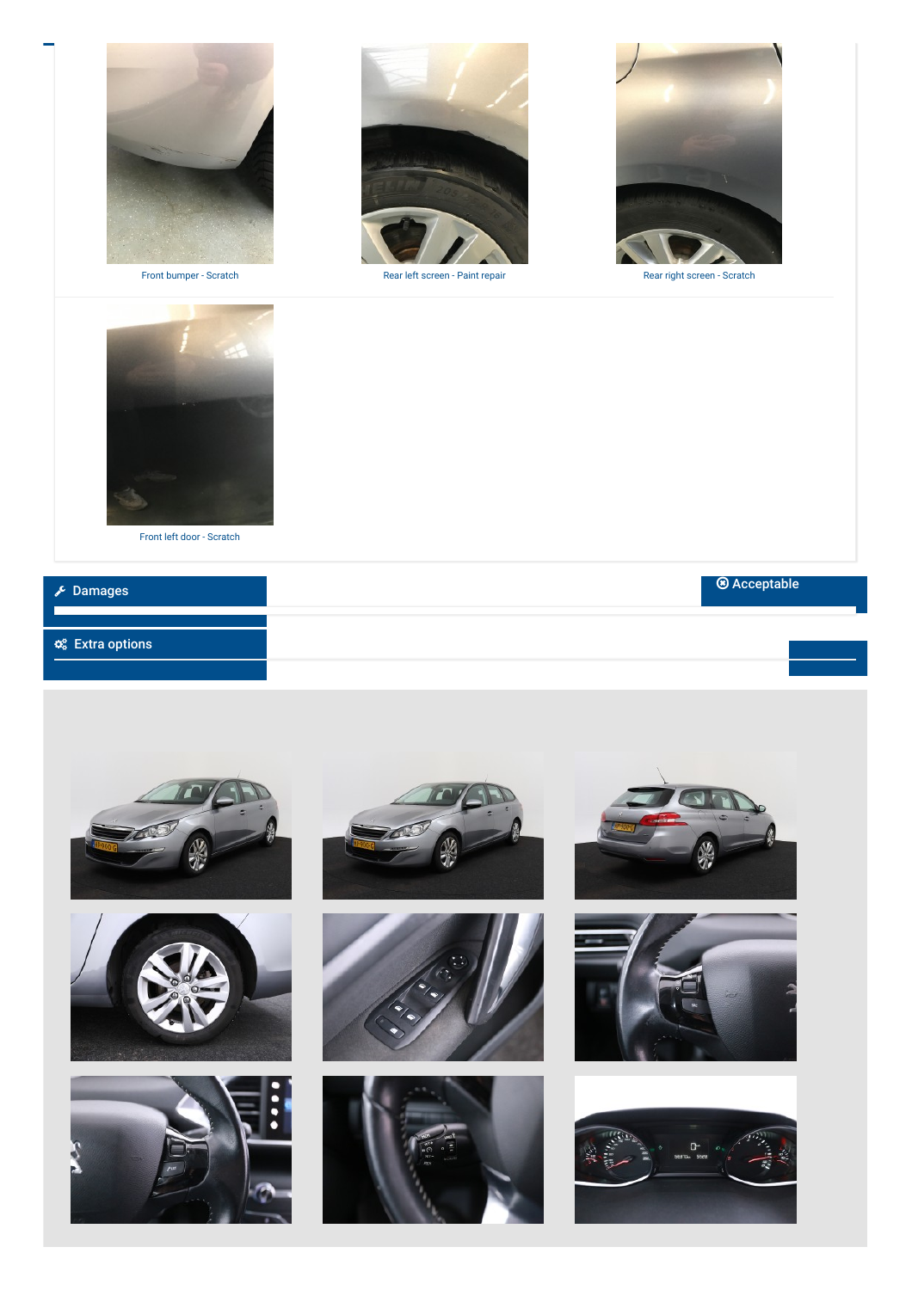







Front left door - Scratch

| <b>E</b> Damages                  | <b>8</b> Acceptable |
|-----------------------------------|---------------------|
|                                   |                     |
| $\bullet$ $\bullet$ Extra options |                     |

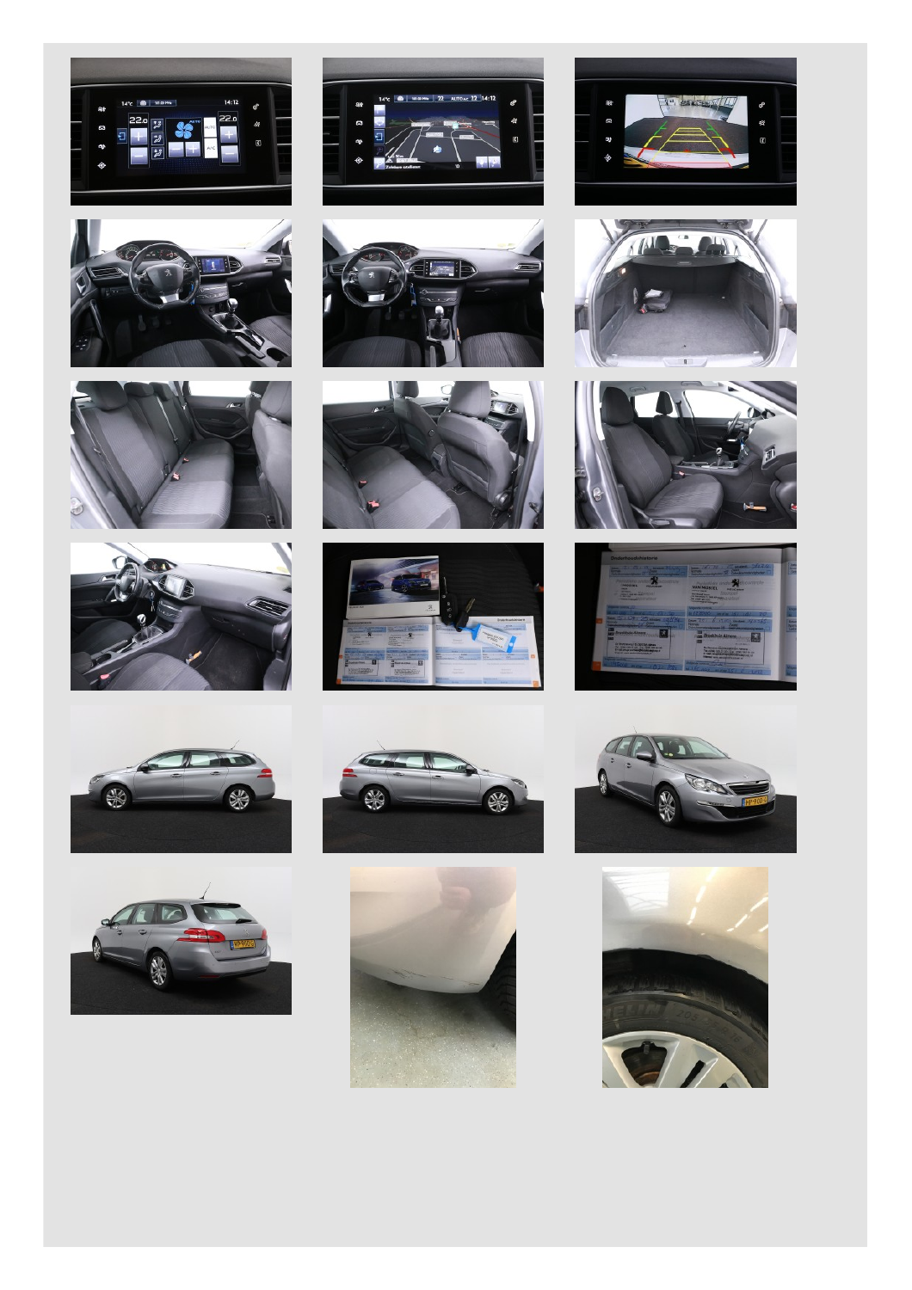